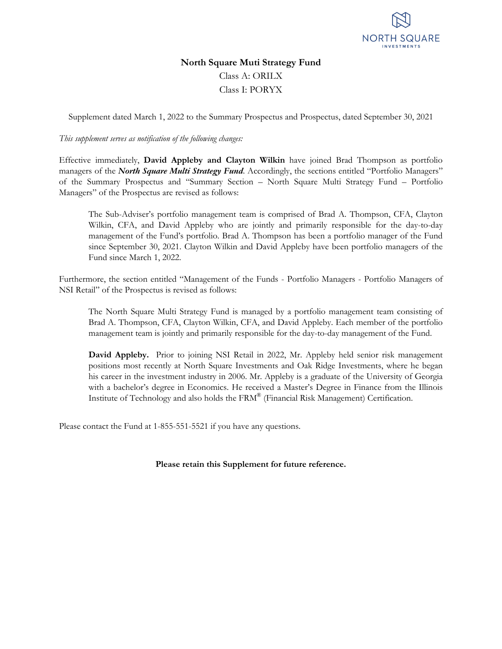

### **North Square Muti Strategy Fund**

Class A: ORILX Class I: PORYX

Supplement dated March 1, 2022 to the Summary Prospectus and Prospectus, dated September 30, 2021

*This supplement serves as notification of the following changes:*

Effective immediately, **David Appleby and Clayton Wilkin** have joined Brad Thompson as portfolio managers of the *North Square Multi Strategy Fund*. Accordingly, the sections entitled "Portfolio Managers" of the Summary Prospectus and "Summary Section – North Square Multi Strategy Fund – Portfolio Managers" of the Prospectus are revised as follows:

The Sub-Adviser's portfolio management team is comprised of Brad A. Thompson, CFA, Clayton Wilkin, CFA, and David Appleby who are jointly and primarily responsible for the day-to-day management of the Fund's portfolio. Brad A. Thompson has been a portfolio manager of the Fund since September 30, 2021. Clayton Wilkin and David Appleby have been portfolio managers of the Fund since March 1, 2022.

Furthermore, the section entitled "Management of the Funds - Portfolio Managers - Portfolio Managers of NSI Retail" of the Prospectus is revised as follows:

The North Square Multi Strategy Fund is managed by a portfolio management team consisting of Brad A. Thompson, CFA, Clayton Wilkin, CFA, and David Appleby. Each member of the portfolio management team is jointly and primarily responsible for the day-to-day management of the Fund.

**David Appleby.** Prior to joining NSI Retail in 2022, Mr. Appleby held senior risk management positions most recently at North Square Investments and Oak Ridge Investments, where he began his career in the investment industry in 2006. Mr. Appleby is a graduate of the University of Georgia with a bachelor's degree in Economics. He received a Master's Degree in Finance from the Illinois Institute of Technology and also holds the FRM® (Financial Risk Management) Certification.

Please contact the Fund at 1-855-551-5521 if you have any questions.

#### **Please retain this Supplement for future reference.**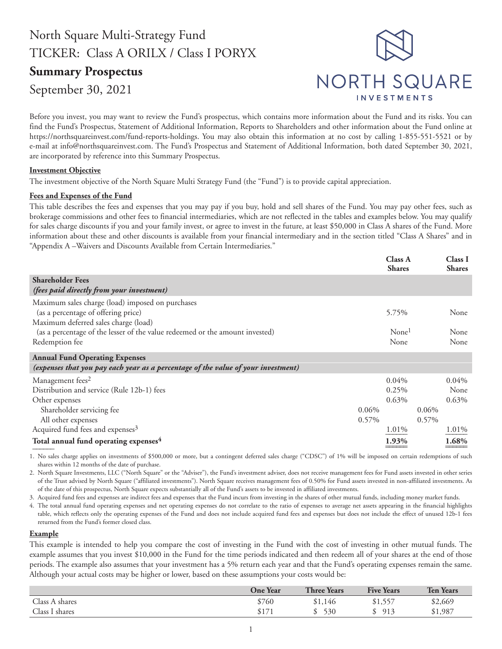# North Square Multi-Strategy Fund TICKER: Class A ORILX / Class I PORYX

## **Summary Prospectus**

September 30, 2021



Before you invest, you may want to review the Fund's prospectus, which contains more information about the Fund and its risks. You can find the Fund's Prospectus, Statement of Additional Information, Reports to Shareholders and other information about the Fund online at https://northsquareinvest.com/fund-reports-holdings. You may also obtain this information at no cost by calling 1-855-551-5521 or by e-mail at info@northsquareinvest.com. The Fund's Prospectus and Statement of Additional Information, both dated September 30, 2021, are incorporated by reference into this Summary Prospectus.

#### **Investment Objective**

The investment objective of the North Square Multi Strategy Fund (the "Fund") is to provide capital appreciation.

#### **Fees and Expenses of the Fund**

This table describes the fees and expenses that you may pay if you buy, hold and sell shares of the Fund. You may pay other fees, such as brokerage commissions and other fees to financial intermediaries, which are not reflected in the tables and examples below. You may qualify for sales charge discounts if you and your family invest, or agree to invest in the future, at least \$50,000 in Class A shares of the Fund. More information about these and other discounts is available from your financial intermediary and in the section titled "Class A Shares" and in "Appendix A –Waivers and Discounts Available from Certain Intermediaries."

|                                                                                                                                 |          | <b>Class A</b><br><b>Shares</b> |          | Class I<br><b>Shares</b> |
|---------------------------------------------------------------------------------------------------------------------------------|----------|---------------------------------|----------|--------------------------|
| <b>Shareholder Fees</b><br>(fees paid directly from your investment)                                                            |          |                                 |          |                          |
| Maximum sales charge (load) imposed on purchases<br>(as a percentage of offering price)<br>Maximum deferred sales charge (load) |          | 5.75%                           |          | None                     |
| (as a percentage of the lesser of the value redeemed or the amount invested)<br>Redemption fee                                  |          | None <sup>1</sup><br>None       |          | None<br>None             |
| <b>Annual Fund Operating Expenses</b>                                                                                           |          |                                 |          |                          |
| (expenses that you pay each year as a percentage of the value of your investment)                                               |          |                                 |          |                          |
| Management fees <sup>2</sup>                                                                                                    |          | $0.04\%$                        |          | $0.04\%$                 |
| Distribution and service (Rule 12b-1) fees                                                                                      |          | 0.25%                           |          | None                     |
| Other expenses                                                                                                                  |          | $0.63\%$                        |          | $0.63\%$                 |
| Shareholder servicing fee                                                                                                       | $0.06\%$ |                                 | $0.06\%$ |                          |
| All other expenses                                                                                                              | $0.57\%$ |                                 | 0.57%    |                          |
| Acquired fund fees and expenses <sup>3</sup>                                                                                    |          | 1.01%                           |          | 1.01%                    |
| Total annual fund operating expenses <sup>4</sup>                                                                               |          | 1.93%                           |          | 1.68%                    |

1. No sales charge applies on investments of \$500,000 or more, but a contingent deferred sales charge ("CDSC") of 1% will be imposed on certain redemptions of such shares within 12 months of the date of purchase.

2. North Square Investments, LLC ("North Square" or the "Adviser"), the Fund's investment adviser, does not receive management fees for Fund assets invested in other series of the Trust advised by North Square ("affiliated investments"). North Square receives management fees of 0.50% for Fund assets invested in non-affiliated investments. As of the date of this prospectus, North Square expects substantially all of the Fund's assets to be invested in affiliated investments.

3. Acquired fund fees and expenses are indirect fees and expenses that the Fund incurs from investing in the shares of other mutual funds, including money market funds.

The total annual fund operating expenses and net operating expenses do not correlate to the ratio of expenses to average net assets appearing in the financial highlights table, which reflects only the operating expenses of the Fund and does not include acquired fund fees and expenses but does not include the effect of unused 12b-1 fees returned from the Fund's former closed class.

#### **Example**

This example is intended to help you compare the cost of investing in the Fund with the cost of investing in other mutual funds. The example assumes that you invest \$10,000 in the Fund for the time periods indicated and then redeem all of your shares at the end of those periods. The example also assumes that your investment has a 5% return each year and that the Fund's operating expenses remain the same. Although your actual costs may be higher or lower, based on these assumptions your costs would be:

|                | <b>One Year</b> | <b>Three Years</b> | <b>Five Years</b> | <b>Ten Years</b> |
|----------------|-----------------|--------------------|-------------------|------------------|
| Class A shares | \$760           | \$1,146            | \$1,557           | \$2,669          |
| Class I shares | \$171           | \$530              | \$913             | \$1,987          |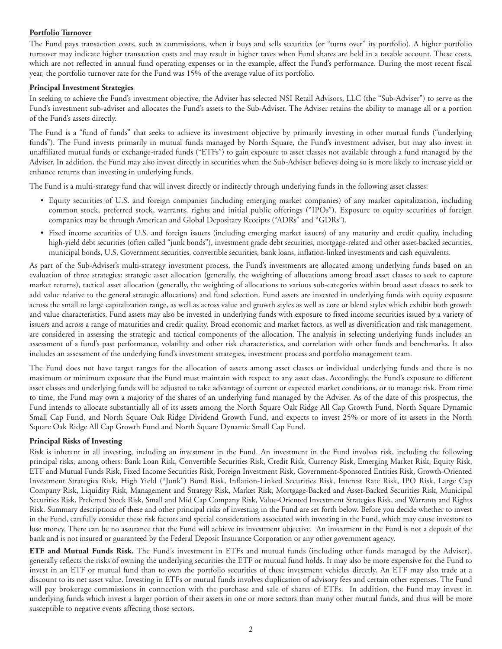#### **Portfolio Turnover**

The Fund pays transaction costs, such as commissions, when it buys and sells securities (or "turns over" its portfolio). A higher portfolio turnover may indicate higher transaction costs and may result in higher taxes when Fund shares are held in a taxable account. These costs, which are not reflected in annual fund operating expenses or in the example, affect the Fund's performance. During the most recent fiscal year, the portfolio turnover rate for the Fund was 15% of the average value of its portfolio.

#### **Principal Investment Strategies**

In seeking to achieve the Fund's investment objective, the Adviser has selected NSI Retail Advisors, LLC (the "Sub-Adviser") to serve as the Fund's investment sub-adviser and allocates the Fund's assets to the Sub-Adviser. The Adviser retains the ability to manage all or a portion of the Fund's assets directly.

The Fund is a "fund of funds" that seeks to achieve its investment objective by primarily investing in other mutual funds ("underlying funds"). The Fund invests primarily in mutual funds managed by North Square, the Fund's investment adviser, but may also invest in unaffiliated mutual funds or exchange-traded funds ("ETFs") to gain exposure to asset classes not available through a fund managed by the Adviser. In addition, the Fund may also invest directly in securities when the Sub-Adviser believes doing so is more likely to increase yield or enhance returns than investing in underlying funds.

The Fund is a multi-strategy fund that will invest directly or indirectly through underlying funds in the following asset classes:

- Equity securities of U.S. and foreign companies (including emerging market companies) of any market capitalization, including common stock, preferred stock, warrants, rights and initial public offerings ("IPOs"). Exposure to equity securities of foreign companies may be through American and Global Depositary Receipts ("ADRs" and "GDRs").
- Fixed income securities of U.S. and foreign issuers (including emerging market issuers) of any maturity and credit quality, including high-yield debt securities (often called "junk bonds"), investment grade debt securities, mortgage-related and other asset-backed securities, municipal bonds, U.S. Government securities, convertible securities, bank loans, inflation-linked investments and cash equivalents.

As part of the Sub-Adviser's multi-strategy investment process, the Fund's investments are allocated among underlying funds based on an evaluation of three strategies: strategic asset allocation (generally, the weighting of allocations among broad asset classes to seek to capture market returns), tactical asset allocation (generally, the weighting of allocations to various sub-categories within broad asset classes to seek to add value relative to the general strategic allocations) and fund selection. Fund assets are invested in underlying funds with equity exposure across the small to large capitalization range, as well as across value and growth styles as well as core or blend styles which exhibit both growth and value characteristics. Fund assets may also be invested in underlying funds with exposure to fixed income securities issued by a variety of issuers and across a range of maturities and credit quality. Broad economic and market factors, as well as diversification and risk management, are considered in assessing the strategic and tactical components of the allocation. The analysis in selecting underlying funds includes an assessment of a fund's past performance, volatility and other risk characteristics, and correlation with other funds and benchmarks. It also includes an assessment of the underlying fund's investment strategies, investment process and portfolio management team.

The Fund does not have target ranges for the allocation of assets among asset classes or individual underlying funds and there is no maximum or minimum exposure that the Fund must maintain with respect to any asset class. Accordingly, the Fund's exposure to different asset classes and underlying funds will be adjusted to take advantage of current or expected market conditions, or to manage risk. From time to time, the Fund may own a majority of the shares of an underlying fund managed by the Adviser. As of the date of this prospectus, the Fund intends to allocate substantially all of its assets among the North Square Oak Ridge All Cap Growth Fund, North Square Dynamic Small Cap Fund, and North Square Oak Ridge Dividend Growth Fund, and expects to invest 25% or more of its assets in the North Square Oak Ridge All Cap Growth Fund and North Square Dynamic Small Cap Fund.

#### **Principal Risks of Investing**

Risk is inherent in all investing, including an investment in the Fund. An investment in the Fund involves risk, including the following principal risks, among others: Bank Loan Risk, Convertible Securities Risk, Credit Risk, Currency Risk, Emerging Market Risk, Equity Risk, ETF and Mutual Funds Risk, Fixed Income Securities Risk, Foreign Investment Risk, Government-Sponsored Entities Risk, Growth-Oriented Investment Strategies Risk, High Yield ("Junk") Bond Risk, Inflation-Linked Securities Risk, Interest Rate Risk, IPO Risk, Large Cap Company Risk, Liquidity Risk, Management and Strategy Risk, Market Risk, Mortgage-Backed and Asset-Backed Securities Risk, Municipal Securities Risk, Preferred Stock Risk, Small and Mid Cap Company Risk, Value-Oriented Investment Strategies Risk, and Warrants and Rights Risk. Summary descriptions of these and other principal risks of investing in the Fund are set forth below. Before you decide whether to invest in the Fund, carefully consider these risk factors and special considerations associated with investing in the Fund, which may cause investors to lose money. There can be no assurance that the Fund will achieve its investment objective. An investment in the Fund is not a deposit of the bank and is not insured or guaranteed by the Federal Deposit Insurance Corporation or any other government agency.

**ETF and Mutual Funds Risk.** The Fund's investment in ETFs and mutual funds (including other funds managed by the Adviser), generally reflects the risks of owning the underlying securities the ETF or mutual fund holds. It may also be more expensive for the Fund to invest in an ETF or mutual fund than to own the portfolio securities of these investment vehicles directly. An ETF may also trade at a discount to its net asset value. Investing in ETFs or mutual funds involves duplication of advisory fees and certain other expenses. The Fund will pay brokerage commissions in connection with the purchase and sale of shares of ETFs. In addition, the Fund may invest in underlying funds which invest a larger portion of their assets in one or more sectors than many other mutual funds, and thus will be more susceptible to negative events affecting those sectors.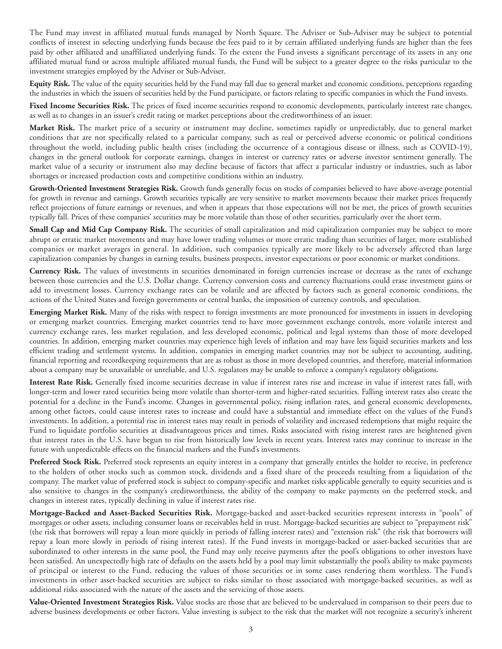The Fund may invest in affiliated mutual funds managed by North Square. The Adviser or Sub-Adviser may be subject to potential conflicts of interest in selecting underlying funds because the fees paid to it by certain affiliated underlying funds are higher than the fees paid by other affiliated and unaffiliated underlying funds. To the extent the Fund invests a significant percentage of its assets in any one affiliated mutual fund or across multiple affiliated mutual funds, the Fund will be subject to a greater degree to the risks particular to the investment strategies employed by the Adviser or Sub-Adviser.

**Equity Risk.** The value of the equity securities held by the Fund may fall due to general market and economic conditions, perceptions regarding the industries in which the issuers of securities held by the Fund participate, or factors relating to specific companies in which the Fund invests.

**Fixed Income Securities Risk.** The prices of fixed income securities respond to economic developments, particularly interest rate changes, as well as to changes in an issuer's credit rating or market perceptions about the creditworthiness of an issuer.

**Market Risk.** The market price of a security or instrument may decline, sometimes rapidly or unpredictably, due to general market conditions that are not specifically related to a particular company, such as real or perceived adverse economic or political conditions throughout the world, including public health crises (including the occurrence of a contagious disease or illness, such as COVID-19), changes in the general outlook for corporate earnings, changes in interest or currency rates or adverse investor sentiment generally. The market value of a security or instrument also may decline because of factors that affect a particular industry or industries, such as labor shortages or increased production costs and competitive conditions within an industry.

**Growth-Oriented Investment Strategies Risk.** Growth funds generally focus on stocks of companies believed to have above-average potential for growth in revenue and earnings. Growth securities typically are very sensitive to market movements because their market prices frequently reflect projections of future earnings or revenues, and when it appears that those expectations will not be met, the prices of growth securities typically fall. Prices of these companies' securities may be more volatile than those of other securities, particularly over the short term.

**Small Cap and Mid Cap Company Risk.** The securities of small capitalization and mid capitalization companies may be subject to more abrupt or erratic market movements and may have lower trading volumes or more erratic trading than securities of larger, more established companies or market averages in general. In addition, such companies typically are more likely to be adversely affected than large capitalization companies by changes in earning results, business prospects, investor expectations or poor economic or market conditions.

**Currency Risk.** The values of investments in securities denominated in foreign currencies increase or decrease as the rates of exchange between those currencies and the U.S. Dollar change. Currency conversion costs and currency fluctuations could erase investment gains or add to investment losses. Currency exchange rates can be volatile and are affected by factors such as general economic conditions, the actions of the United States and foreign governments or central banks, the imposition of currency controls, and speculation.

**Emerging Market Risk.** Many of the risks with respect to foreign investments are more pronounced for investments in issuers in developing or emerging market countries. Emerging market countries tend to have more government exchange controls, more volatile interest and currency exchange rates, less market regulation, and less developed economic, political and legal systems than those of more developed countries. In addition, emerging market countries may experience high levels of inflation and may have less liquid securities markets and less efficient trading and settlement systems. In addition, companies in emerging market countries may not be subject to accounting, auditing, financial reporting and recordkeeping requirements that are as robust as those in more developed countries, and therefore, material information about a company may be unavailable or unreliable, and U.S. regulators may be unable to enforce a company's regulatory obligations.

**Interest Rate Risk.** Generally fixed income securities decrease in value if interest rates rise and increase in value if interest rates fall, with longer-term and lower rated securities being more volatile than shorter-term and higher-rated securities. Falling interest rates also create the potential for a decline in the Fund's income. Changes in governmental policy, rising inflation rates, and general economic developments, among other factors, could cause interest rates to increase and could have a substantial and immediate effect on the values of the Fund's investments. In addition, a potential rise in interest rates may result in periods of volatility and increased redemptions that might require the Fund to liquidate portfolio securities at disadvantageous prices and times. Risks associated with rising interest rates are heightened given that interest rates in the U.S. have begun to rise from historically low levels in recent years. Interest rates may continue to increase in the future with unpredictable effects on the financial markets and the Fund's investments.

**Preferred Stock Risk.** Preferred stock represents an equity interest in a company that generally entitles the holder to receive, in preference to the holders of other stocks such as common stock, dividends and a fixed share of the proceeds resulting from a liquidation of the company. The market value of preferred stock is subject to company-specific and market risks applicable generally to equity securities and is also sensitive to changes in the company's creditworthiness, the ability of the company to make payments on the preferred stock, and changes in interest rates, typically declining in value if interest rates rise.

**Mortgage-Backed and Asset-Backed Securities Risk.** Mortgage-backed and asset-backed securities represent interests in "pools" of mortgages or other assets, including consumer loans or receivables held in trust. Mortgage-backed securities are subject to "prepayment risk" (the risk that borrowers will repay a loan more quickly in periods of falling interest rates) and "extension risk" (the risk that borrowers will repay a loan more slowly in periods of rising interest rates). If the Fund invests in mortgage-backed or asset-backed securities that are subordinated to other interests in the same pool, the Fund may only receive payments after the pool's obligations to other investors have been satisfied. An unexpectedly high rate of defaults on the assets held by a pool may limit substantially the pool's ability to make payments of principal or interest to the Fund, reducing the values of those securities or in some cases rendering them worthless. The Fund's investments in other asset-backed securities are subject to risks similar to those associated with mortgage-backed securities, as well as additional risks associated with the nature of the assets and the servicing of those assets.

**Value-Oriented Investment Strategies Risk.** Value stocks are those that are believed to be undervalued in comparison to their peers due to adverse business developments or other factors. Value investing is subject to the risk that the market will not recognize a security's inherent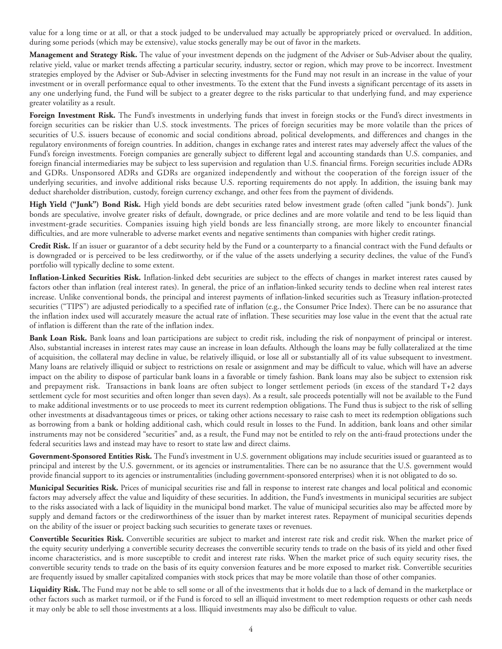value for a long time or at all, or that a stock judged to be undervalued may actually be appropriately priced or overvalued. In addition, during some periods (which may be extensive), value stocks generally may be out of favor in the markets.

**Management and Strategy Risk.** The value of your investment depends on the judgment of the Adviser or Sub-Adviser about the quality, relative yield, value or market trends affecting a particular security, industry, sector or region, which may prove to be incorrect. Investment strategies employed by the Adviser or Sub-Adviser in selecting investments for the Fund may not result in an increase in the value of your investment or in overall performance equal to other investments. To the extent that the Fund invests a significant percentage of its assets in any one underlying fund, the Fund will be subject to a greater degree to the risks particular to that underlying fund, and may experience greater volatility as a result.

**Foreign Investment Risk.** The Fund's investments in underlying funds that invest in foreign stocks or the Fund's direct investments in foreign securities can be riskier than U.S. stock investments. The prices of foreign securities may be more volatile than the prices of securities of U.S. issuers because of economic and social conditions abroad, political developments, and differences and changes in the regulatory environments of foreign countries. In addition, changes in exchange rates and interest rates may adversely affect the values of the Fund's foreign investments. Foreign companies are generally subject to different legal and accounting standards than U.S. companies, and foreign financial intermediaries may be subject to less supervision and regulation than U.S. financial firms. Foreign securities include ADRs and GDRs. Unsponsored ADRs and GDRs are organized independently and without the cooperation of the foreign issuer of the underlying securities, and involve additional risks because U.S. reporting requirements do not apply. In addition, the issuing bank may deduct shareholder distribution, custody, foreign currency exchange, and other fees from the payment of dividends.

**High Yield ("Junk") Bond Risk.** High yield bonds are debt securities rated below investment grade (often called "junk bonds"). Junk bonds are speculative, involve greater risks of default, downgrade, or price declines and are more volatile and tend to be less liquid than investment-grade securities. Companies issuing high yield bonds are less financially strong, are more likely to encounter financial difficulties, and are more vulnerable to adverse market events and negative sentiments than companies with higher credit ratings.

**Credit Risk.** If an issuer or guarantor of a debt security held by the Fund or a counterparty to a financial contract with the Fund defaults or is downgraded or is perceived to be less creditworthy, or if the value of the assets underlying a security declines, the value of the Fund's portfolio will typically decline to some extent.

**Inflation-Linked Securities Risk.** Inflation-linked debt securities are subject to the effects of changes in market interest rates caused by factors other than inflation (real interest rates). In general, the price of an inflation-linked security tends to decline when real interest rates increase. Unlike conventional bonds, the principal and interest payments of inflation-linked securities such as Treasury inflation-protected securities ("TIPS") are adjusted periodically to a specified rate of inflation (e.g., the Consumer Price Index). There can be no assurance that the inflation index used will accurately measure the actual rate of inflation. These securities may lose value in the event that the actual rate of inflation is different than the rate of the inflation index.

**Bank Loan Risk.** Bank loans and loan participations are subject to credit risk, including the risk of nonpayment of principal or interest. Also, substantial increases in interest rates may cause an increase in loan defaults. Although the loans may be fully collateralized at the time of acquisition, the collateral may decline in value, be relatively illiquid, or lose all or substantially all of its value subsequent to investment. Many loans are relatively illiquid or subject to restrictions on resale or assignment and may be difficult to value, which will have an adverse impact on the ability to dispose of particular bank loans in a favorable or timely fashion. Bank loans may also be subject to extension risk and prepayment risk. Transactions in bank loans are often subject to longer settlement periods (in excess of the standard T+2 days settlement cycle for most securities and often longer than seven days). As a result, sale proceeds potentially will not be available to the Fund to make additional investments or to use proceeds to meet its current redemption obligations. The Fund thus is subject to the risk of selling other investments at disadvantageous times or prices, or taking other actions necessary to raise cash to meet its redemption obligations such as borrowing from a bank or holding additional cash, which could result in losses to the Fund. In addition, bank loans and other similar instruments may not be considered "securities" and, as a result, the Fund may not be entitled to rely on the anti-fraud protections under the federal securities laws and instead may have to resort to state law and direct claims.

**Government-Sponsored Entities Risk.** The Fund's investment in U.S. government obligations may include securities issued or guaranteed as to principal and interest by the U.S. government, or its agencies or instrumentalities. There can be no assurance that the U.S. government would provide financial support to its agencies or instrumentalities (including government-sponsored enterprises) when it is not obligated to do so.

**Municipal Securities Risk.** Prices of municipal securities rise and fall in response to interest rate changes and local political and economic factors may adversely affect the value and liquidity of these securities. In addition, the Fund's investments in municipal securities are subject to the risks associated with a lack of liquidity in the municipal bond market. The value of municipal securities also may be affected more by supply and demand factors or the creditworthiness of the issuer than by market interest rates. Repayment of municipal securities depends on the ability of the issuer or project backing such securities to generate taxes or revenues.

**Convertible Securities Risk.** Convertible securities are subject to market and interest rate risk and credit risk. When the market price of the equity security underlying a convertible security decreases the convertible security tends to trade on the basis of its yield and other fixed income characteristics, and is more susceptible to credit and interest rate risks. When the market price of such equity security rises, the convertible security tends to trade on the basis of its equity conversion features and be more exposed to market risk. Convertible securities are frequently issued by smaller capitalized companies with stock prices that may be more volatile than those of other companies.

**Liquidity Risk.** The Fund may not be able to sell some or all of the investments that it holds due to a lack of demand in the marketplace or other factors such as market turmoil, or if the Fund is forced to sell an illiquid investment to meet redemption requests or other cash needs it may only be able to sell those investments at a loss. Illiquid investments may also be difficult to value.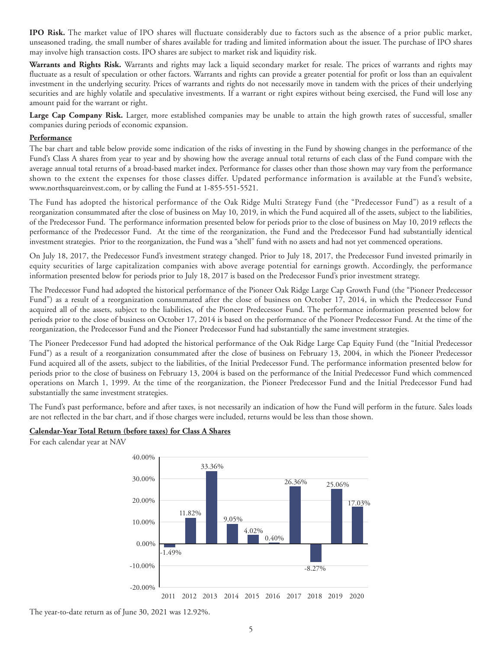**IPO Risk.** The market value of IPO shares will fluctuate considerably due to factors such as the absence of a prior public market, unseasoned trading, the small number of shares available for trading and limited information about the issuer. The purchase of IPO shares may involve high transaction costs. IPO shares are subject to market risk and liquidity risk.

**Warrants and Rights Risk.** Warrants and rights may lack a liquid secondary market for resale. The prices of warrants and rights may fluctuate as a result of speculation or other factors. Warrants and rights can provide a greater potential for profit or loss than an equivalent investment in the underlying security. Prices of warrants and rights do not necessarily move in tandem with the prices of their underlying securities and are highly volatile and speculative investments. If a warrant or right expires without being exercised, the Fund will lose any amount paid for the warrant or right.

**Large Cap Company Risk.** Larger, more established companies may be unable to attain the high growth rates of successful, smaller companies during periods of economic expansion.

#### **Performance**

The bar chart and table below provide some indication of the risks of investing in the Fund by showing changes in the performance of the Fund's Class A shares from year to year and by showing how the average annual total returns of each class of the Fund compare with the average annual total returns of a broad-based market index. Performance for classes other than those shown may vary from the performance shown to the extent the expenses for those classes differ. Updated performance information is available at the Fund's website, www.northsquareinvest.com, or by calling the Fund at 1-855-551-5521.

The Fund has adopted the historical performance of the Oak Ridge Multi Strategy Fund (the "Predecessor Fund") as a result of a reorganization consummated after the close of business on May 10, 2019, in which the Fund acquired all of the assets, subject to the liabilities, of the Predecessor Fund. The performance information presented below for periods prior to the close of business on May 10, 2019 reflects the performance of the Predecessor Fund. At the time of the reorganization, the Fund and the Predecessor Fund had substantially identical investment strategies. Prior to the reorganization, the Fund was a "shell" fund with no assets and had not yet commenced operations.

On July 18, 2017, the Predecessor Fund's investment strategy changed. Prior to July 18, 2017, the Predecessor Fund invested primarily in equity securities of large capitalization companies with above average potential for earnings growth. Accordingly, the performance information presented below for periods prior to July 18, 2017 is based on the Predecessor Fund's prior investment strategy.

The Predecessor Fund had adopted the historical performance of the Pioneer Oak Ridge Large Cap Growth Fund (the "Pioneer Predecessor Fund") as a result of a reorganization consummated after the close of business on October 17, 2014, in which the Predecessor Fund acquired all of the assets, subject to the liabilities, of the Pioneer Predecessor Fund. The performance information presented below for periods prior to the close of business on October 17, 2014 is based on the performance of the Pioneer Predecessor Fund. At the time of the reorganization, the Predecessor Fund and the Pioneer Predecessor Fund had substantially the same investment strategies.

The Pioneer Predecessor Fund had adopted the historical performance of the Oak Ridge Large Cap Equity Fund (the "Initial Predecessor Fund") as a result of a reorganization consummated after the close of business on February 13, 2004, in which the Pioneer Predecessor Fund acquired all of the assets, subject to the liabilities, of the Initial Predecessor Fund. The performance information presented below for periods prior to the close of business on February 13, 2004 is based on the performance of the Initial Predecessor Fund which commenced operations on March 1, 1999. At the time of the reorganization, the Pioneer Predecessor Fund and the Initial Predecessor Fund had substantially the same investment strategies.

The Fund's past performance, before and after taxes, is not necessarily an indication of how the Fund will perform in the future. Sales loads are not reflected in the bar chart, and if those charges were included, returns would be less than those shown.

#### **Calendar-Year Total Return (before taxes) for Class A Shares**

For each calendar year at NAV



The year-to-date return as of June 30, 2021 was 12.92%.